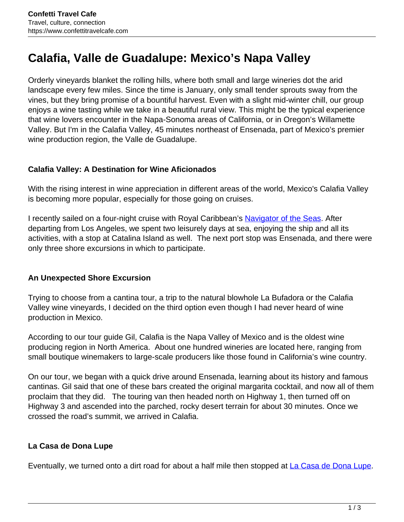# **Calafia, Valle de Guadalupe: Mexico's Napa Valley**

Orderly vineyards blanket the rolling hills, where both small and large wineries dot the arid landscape every few miles. Since the time is January, only small tender sprouts sway from the vines, but they bring promise of a bountiful harvest. Even with a slight mid-winter chill, our group enjoys a wine tasting while we take in a beautiful rural view. This might be the typical experience that wine lovers encounter in the Napa-Sonoma areas of California, or in Oregon's Willamette Valley. But I'm in the Calafia Valley, 45 minutes northeast of Ensenada, part of Mexico's premier wine production region, the Valle de Guadalupe.

## **Calafia Valley: A Destination for Wine Aficionados**

With the rising interest in wine appreciation in different areas of the world, Mexico's Calafia Valley is becoming more popular, especially for those going on cruises.

I recently sailed on a four-night cruise with Royal Caribbean's [Navigator of the Seas.](https://www.royalcaribbean.com/cruise-ships/navigator-of-the-seas) After departing from Los Angeles, we spent two leisurely days at sea, enjoying the ship and all its activities, with a stop at Catalina Island as well. The next port stop was Ensenada, and there were only three shore excursions in which to participate.

## **An Unexpected Shore Excursion**

Trying to choose from a cantina tour, a trip to the natural blowhole La Bufadora or the Calafia Valley wine vineyards, I decided on the third option even though I had never heard of wine production in Mexico.

According to our tour guide Gil, Calafia is the Napa Valley of Mexico and is the oldest wine producing region in North America. About one hundred wineries are located here, ranging from small boutique winemakers to large-scale producers like those found in California's wine country.

On our tour, we began with a quick drive around Ensenada, learning about its history and famous cantinas. Gil said that one of these bars created the original margarita cocktail, and now all of them proclaim that they did. The touring van then headed north on Highway 1, then turned off on Highway 3 and ascended into the parched, rocky desert terrain for about 30 minutes. Once we crossed the road's summit, we arrived in Calafia.

## **La Casa de Dona Lupe**

Eventually, we turned onto a dirt road for about a half mile then stopped at La Casa de Dona Lupe.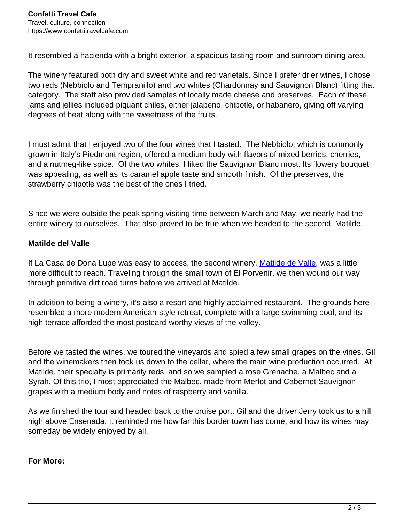It resembled a hacienda with a bright exterior, a spacious tasting room and sunroom dining area.

The winery featured both dry and sweet white and red varietals. Since I prefer drier wines, I chose two reds (Nebbiolo and Tempranillo) and two whites (Chardonnay and Sauvignon Blanc) fitting that category. The staff also provided samples of locally made cheese and preserves. Each of these jams and jellies included piquant chiles, either jalapeno, chipotle, or habanero, giving off varying degrees of heat along with the sweetness of the fruits.

I must admit that I enjoyed two of the four wines that I tasted. The Nebbiolo, which is commonly grown in Italy's Piedmont region, offered a medium body with flavors of mixed berries, cherries, and a nutmeg-like spice. Of the two whites, I liked the Sauvignon Blanc most. Its flowery bouquet was appealing, as well as its caramel apple taste and smooth finish. Of the preserves, the strawberry chipotle was the best of the ones I tried.

Since we were outside the peak spring visiting time between March and May, we nearly had the entire winery to ourselves. That also proved to be true when we headed to the second, Matilde.

### **Matilde del Valle**

If La Casa de Dona Lupe was easy to access, the second winery, Matilde de Valle, was a little more difficult to reach. Traveling through the small town of El Porvenir, we then wound our way through primitive dirt road turns before we arrived at Matilde.

In addition to being a winery, it's also a resort and highly acclaimed restaurant. The grounds here resembled a more modern American-style retreat, complete with a large swimming pool, and its high terrace afforded the most postcard-worthy views of the valley.

Before we tasted the wines, we toured the vineyards and spied a few small grapes on the vines. Gil and the winemakers then took us down to the cellar, where the main wine production occurred. At Matilde, their specialty is primarily reds, and so we sampled a rose Grenache, a Malbec and a Syrah. Of this trio, I most appreciated the Malbec, made from Merlot and Cabernet Sauvignon grapes with a medium body and notes of raspberry and vanilla.

As we finished the tour and headed back to the cruise port, Gil and the driver Jerry took us to a hill high above Ensenada. It reminded me how far this border town has come, and how its wines may someday be widely enjoyed by all.

**For More:**